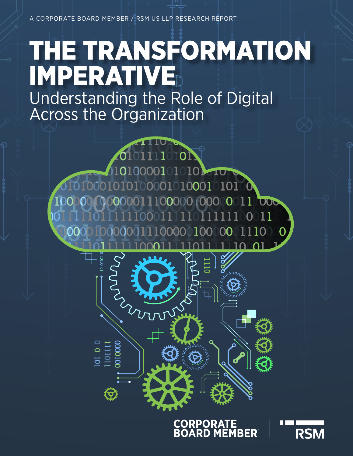# THE TRANSFORMATION IMPERATIVE

Understanding the Role of Digital Across the Organization

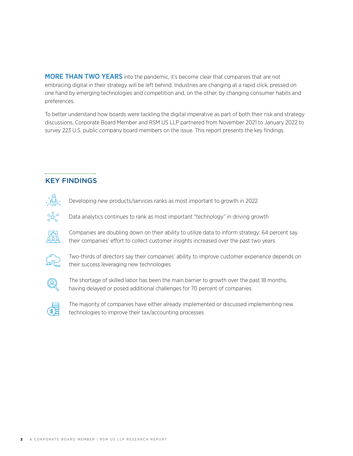MORE THAN TWO YEARS into the pandemic, it's become clear that companies that are not embracing digital in their strategy will be left behind. Industries are changing at a rapid click, pressed on one hand by emerging technologies and competition and, on the other, by changing consumer habits and preferences.

To better understand how boards were tackling the digital imperative as part of both their risk and strategy discussions, Corporate Board Member and RSM US LLP partnered from November 2021 to January 2022 to survey 223 U.S. public company board members on the issue. This report presents the key findings.

# KEY FINDINGS



Developing new products/services ranks as most important to growth in 2022

Data analytics continues to rank as most important "technology" in driving growth



Companies are doubling down on their ability to utilize data to inform strategy: 64 percent say their companies' effort to collect customer insights increased over the past two years



Two-thirds of directors say their companies' ability to improve customer experience depends on their success leveraging new technologies



The shortage of skilled labor has been the main barrier to growth over the past 18 months, having delayed or posed additional challenges for 70 percent of companies



The majority of companies have either already implemented or discussed implementing new technologies to improve their tax/accounting processes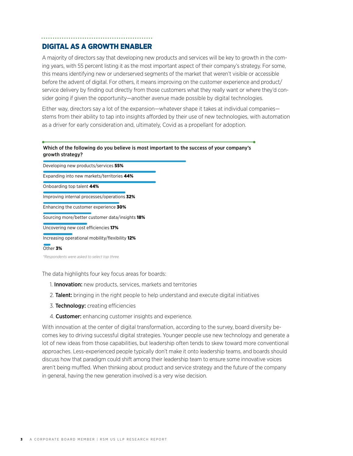# DIGITAL AS A GROWTH ENABLER

A majority of directors say that developing new products and services will be key to growth in the coming years, with 55 percent listing it as the most important aspect of their company's strategy. For some, this means identifying new or underserved segments of the market that weren't visible or accessible before the advent of digital. For others, it means improving on the customer experience and product/ service delivery by finding out directly from those customers what they really want or where they'd consider going if given the opportunity—another avenue made possible by digital technologies.

Either way, directors say a lot of the expansion—whatever shape it takes at individual companies stems from their ability to tap into insights afforded by their use of new technologies, with automation as a driver for early consideration and, ultimately, Covid as a propellant for adoption.

### Which of the following do you believe is most important to the success of your company's growth strategy?

| Developing new products/services 55%            |
|-------------------------------------------------|
| Expanding into new markets/territories 44%      |
| Onboarding top talent 44%                       |
| Improving internal processes/operations 32%     |
| Enhancing the customer experience 30%           |
| Sourcing more/better customer data/insights 18% |
| Uncovering new cost efficiencies 17%            |
| Increasing operational mobility/flexibility 12% |

#### Other 3%

*\*Respondents were asked to select top three.*

The data highlights four key focus areas for boards:

- 1. **Innovation:** new products, services, markets and territories
- 2. **Talent:** bringing in the right people to help understand and execute digital initiatives
- 3. **Technology:** creating efficiencies
- 4. Customer: enhancing customer insights and experience.

With innovation at the center of digital transformation, according to the survey, board diversity becomes key to driving successful digital strategies. Younger people use new technology and generate a lot of new ideas from those capabilities, but leadership often tends to skew toward more conventional approaches. Less-experienced people typically don't make it onto leadership teams, and boards should discuss how that paradigm could shift among their leadership team to ensure some innovative voices aren't being muffled. When thinking about product and service strategy and the future of the company in general, having the new generation involved is a very wise decision.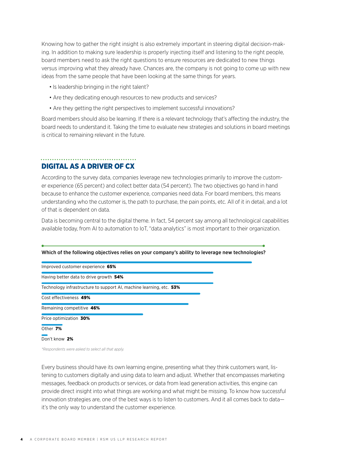Knowing how to gather the right insight is also extremely important in steering digital decision-making. In addition to making sure leadership is properly injecting itself and listening to the right people, board members need to ask the right questions to ensure resources are dedicated to new things versus improving what they already have. Chances are, the company is not going to come up with new ideas from the same people that have been looking at the same things for years.

- Is leadership bringing in the right talent?
- Are they dedicating enough resources to new products and services?
- Are they getting the right perspectives to implement successful innovations?

Board members should also be learning. If there is a relevant technology that's affecting the industry, the board needs to understand it. Taking the time to evaluate new strategies and solutions in board meetings is critical to remaining relevant in the future.

### DIGITAL AS A DRIVER OF CX

According to the survey data, companies leverage new technologies primarily to improve the customer experience (65 percent) and collect better data (54 percent). The two objectives go hand in hand because to enhance the customer experience, companies need data. For board members, this means understanding who the customer is, the path to purchase, the pain points, etc. All of it in detail, and a lot of that is dependent on data.

Data is becoming central to the digital theme. In fact, 54 percent say among all technological capabilities available today, from AI to automation to IoT, "data analytics" is most important to their organization.

| Which of the following objectives relies on your company's ability to leverage new technologies? |
|--------------------------------------------------------------------------------------------------|
| Improved customer experience 65%                                                                 |
| Having better data to drive growth 54%                                                           |
| Technology infrastructure to support AI, machine learning, etc. 53%                              |
| Cost effectiveness 49%                                                                           |
| Remaining competitive 46%                                                                        |
| Price optimization 30%                                                                           |
| Other 7%                                                                                         |
| Don't know 2%                                                                                    |

*\*Respondents were asked to select all that apply.*

Every business should have its own learning engine, presenting what they think customers want, listening to customers digitally and using data to learn and adjust. Whether that encompasses marketing messages, feedback on products or services, or data from lead generation activities, this engine can provide direct insight into what things are working and what might be missing. To know how successful innovation strategies are, one of the best ways is to listen to customers. And it all comes back to data it's the only way to understand the customer experience.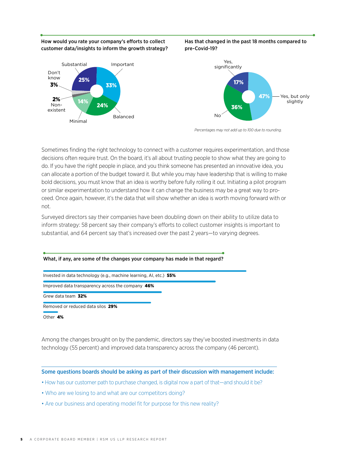How would you rate your company's efforts to collect customer data/insights to inform the growth strategy?





Has that changed in the past 18 months compared to



*Percentages may not add up to 100 due to rounding.* 

Sometimes finding the right technology to connect with a customer requires experimentation, and those decisions often require trust. On the board, it's all about trusting people to show what they are going to do. If you have the right people in place, and you think someone has presented an innovative idea, you can allocate a portion of the budget toward it. But while you may have leadership that is willing to make bold decisions, you must know that an idea is worthy before fully rolling it out. Initiating a pilot program or similar experimentation to understand how it can change the business may be a great way to proceed. Once again, however, it's the data that will show whether an idea is worth moving forward with or not.

Surveyed directors say their companies have been doubling down on their ability to utilize data to inform strategy: 58 percent say their company's efforts to collect customer insights is important to substantial, and 64 percent say that's increased over the past 2 years—to varying degrees.

#### What, if any, are some of the changes your company has made in that regard?

Invested in data technology (e.g., machine learning, AI, etc.) 55%

Improved data transparency across the company 46%

Grew data team 32%

Removed or reduced data silos 29%

Other 4%

Among the changes brought on by the pandemic, directors say they've boosted investments in data technology (55 percent) and improved data transparency across the company (46 percent).

Some questions boards should be asking as part of their discussion with management include:

- How has our customer path to purchase changed, is digital now a part of that—and should it be?
- Who are we losing to and what are our competitors doing?
- Are our business and operating model fit for purpose for this new reality?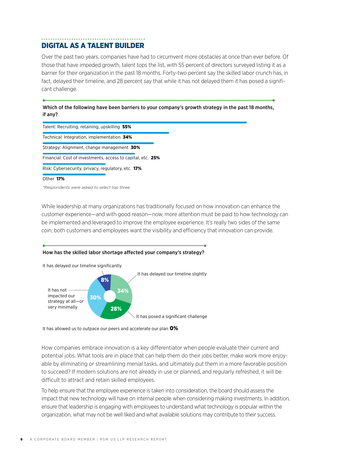# DIGITAL AS A TALENT BUILDER

Over the past two years, companies have had to circumvent more obstacles at once than ever before. Of those that have impeded growth, talent tops the list, with 55 percent of directors surveyed listing it as a barrier for their organization in the past 18 months. Forty-two percent say the skilled labor crunch has, in fact, delayed their timeline, and 28 percent say that while it has not delayed them it has posed a significant challenge.

Which of the following have been barriers to your company's growth strategy in the past 18 months, if any?

| Talent: Recruiting, retaining, upskilling 55%               |
|-------------------------------------------------------------|
| Technical: Integration, implementation 34%                  |
| Strategy: Alignment, change management 30%                  |
| Financial: Cost of investments, access to capital, etc. 25% |
| Risk: Cybersecurity, privacy, regulatory, etc. 17%          |
| Other 17%                                                   |
| *Respondents were asked to select top three.                |

While leadership at many organizations has traditionally focused on how innovation can enhance the customer experience—and with good reason—now, more attention must be paid to how technology can be implemented and leveraged to improve the employee experience. It's really two sides of the same coin; both customers and employees want the visibility and efficiency that innovation can provide.

### How has the skilled labor shortage affected your company's strategy?



It has allowed us to outpace our peers and accelerate our plan  $O\%$ 

How companies embrace innovation is a key differentiator when people evaluate their current and potential jobs. What tools are in place that can help them do their jobs better, make work more enjoyable by eliminating or streamlining menial tasks, and ultimately put them in a more favorable position to succeed? If modern solutions are not already in use or planned, and regularly refreshed, it will be difficult to attract and retain skilled employees.

To help ensure that the employee experience is taken into consideration, the board should assess the impact that new technology will have on internal people when considering making investments. In addition, ensure that leadership is engaging with employees to understand what technology is popular within the organization, what may not be well liked and what available solutions may contribute to their success.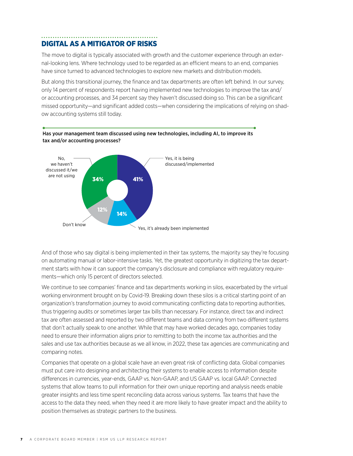# DIGITAL AS A MITIGATOR OF RISKS

The move to digital is typically associated with growth and the customer experience through an external-looking lens. Where technology used to be regarded as an efficient means to an end, companies have since turned to advanced technologies to explore new markets and distribution models.

But along this transitional journey, the finance and tax departments are often left behind. In our survey, only 14 percent of respondents report having implemented new technologies to improve the tax and/ or accounting processes, and 34 percent say they haven't discussed doing so. This can be a significant missed opportunity—and significant added costs—when considering the implications of relying on shadow accounting systems still today.



Has your management team discussed using new technologies, including AI, to improve its tax and/or accounting processes?

And of those who say digital is being implemented in their tax systems, the majority say they're focusing on automating manual or labor-intensive tasks. Yet, the greatest opportunity in digitizing the tax department starts with how it can support the company's disclosure and compliance with regulatory requirements—which only 15 percent of directors selected.

We continue to see companies' finance and tax departments working in silos, exacerbated by the virtual working environment brought on by Covid-19. Breaking down these silos is a critical starting point of an organization's transformation journey to avoid communicating conflicting data to reporting authorities, thus triggering audits or sometimes larger tax bills than necessary. For instance, direct tax and indirect tax are often assessed and reported by two different teams and data coming from two different systems that don't actually speak to one another. While that may have worked decades ago, companies today need to ensure their information aligns prior to remitting to both the income tax authorities and the sales and use tax authorities because as we all know, in 2022, these tax agencies are communicating and comparing notes.

Companies that operate on a global scale have an even great risk of conflicting data. Global companies must put care into designing and architecting their systems to enable access to information despite differences in currencies, year-ends, GAAP vs. Non-GAAP, and US GAAP vs. local GAAP. Connected systems that allow teams to pull information for their own unique reporting and analysis needs enable greater insights and less time spent reconciling data across various systems. Tax teams that have the access to the data they need, when they need it are more likely to have greater impact and the ability to position themselves as strategic partners to the business.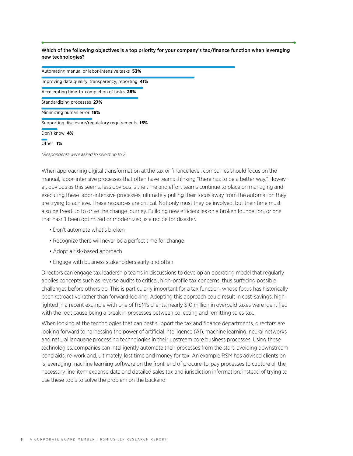Which of the following objectives is a top priority for your company's tax/finance function when leveraging new technologies?

| Automating manual or labor-intensive tasks 53%      |
|-----------------------------------------------------|
| Improving data quality, transparency, reporting 41% |
| Accelerating time-to-completion of tasks 28%        |
| Standardizing processes 27%                         |
| Minimizing human error 16%                          |
| Supporting disclosure/regulatory requirements 15%   |
| Don't know 4%                                       |
| Other 1%                                            |
|                                                     |

*\*Respondents were asked to select up to 2*

When approaching digital transformation at the tax or finance level, companies should focus on the manual, labor-intensive processes that often have teams thinking "there has to be a better way." However, obvious as this seems, less obvious is the time and effort teams continue to place on managing and executing these labor-intensive processes, ultimately pulling their focus away from the automation they are trying to achieve. These resources are critical. Not only must they be involved, but their time must also be freed up to drive the change journey. Building new efficiencies on a broken foundation, or one that hasn't been optimized or modernized, is a recipe for disaster.

- Don't automate what's broken
- Recognize there will never be a perfect time for change
- Adopt a risk-based approach
- Engage with business stakeholders early and often

Directors can engage tax leadership teams in discussions to develop an operating model that regularly applies concepts such as reverse audits to critical, high-profile tax concerns, thus surfacing possible challenges before others do. This is particularly important for a tax function, whose focus has historically been retroactive rather than forward-looking. Adopting this approach could result in cost-savings, highlighted in a recent example with one of RSM's clients: nearly \$10 million in overpaid taxes were identified with the root cause being a break in processes between collecting and remitting sales tax.

When looking at the technologies that can best support the tax and finance departments, directors are looking forward to harnessing the power of artificial intelligence (AI), machine learning, neural networks and natural language processing technologies in their upstream core business processes. Using these technologies, companies can intelligently automate their processes from the start, avoiding downstream band aids, re-work and, ultimately, lost time and money for tax. An example RSM has advised clients on is leveraging machine learning software on the front-end of procure-to-pay processes to capture all the necessary line-item expense data and detailed sales tax and jurisdiction information, instead of trying to use these tools to solve the problem on the backend.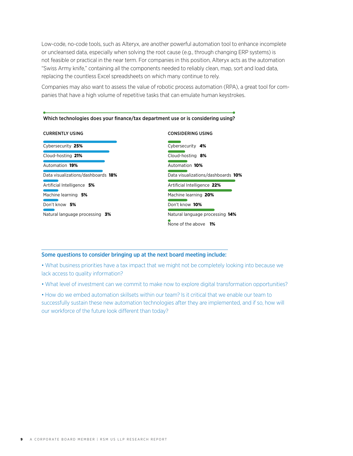Low-code, no-code tools, such as Alteryx, are another powerful automation tool to enhance incomplete or uncleansed data, especially when solving the root cause (e.g., through changing ERP systems) is not feasible or practical in the near term. For companies in this position, Alteryx acts as the automation "Swiss Army knife," containing all the components needed to reliably clean, map, sort and load data, replacing the countless Excel spreadsheets on which many continue to rely.

Companies may also want to assess the value of robotic process automation (RPA), a great tool for companies that have a high volume of repetitive tasks that can emulate human keystrokes.

10%

| <b>CURRENTLY USING</b>             | <b>CONSIDERING USING</b>                                     |  |
|------------------------------------|--------------------------------------------------------------|--|
| Cybersecurity 25%                  | Cybersecurity 4%                                             |  |
| Cloud-hosting 21%                  | Cloud-hosting 8%                                             |  |
| Automation 19%                     | Automation 10%                                               |  |
| Data visualizations/dashboards 18% | Data visualizations/dashboards 1                             |  |
| Artificial Intelligence 5%         | Artificial Intelligence 22%                                  |  |
| Machine learning 5%                | Machine learning 20%                                         |  |
| Don't know 5%                      | Don't know 10%                                               |  |
| Natural language processing 3%     | Natural language processing 14%<br>None of the above<br>- 1% |  |

#### Which technologies does your finance/tax department use or is considering using?

### Some questions to consider bringing up at the next board meeting include:

• What business priorities have a tax impact that we might not be completely looking into because we lack access to quality information?

• What level of investment can we commit to make now to explore digital transformation opportunities?

• How do we embed automation skillsets within our team? Is it critical that we enable our team to successfully sustain these new automation technologies after they are implemented, and if so, how will our workforce of the future look different than today?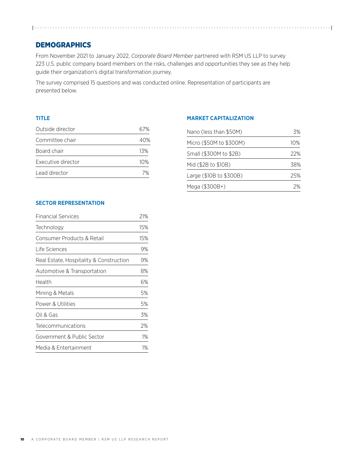# **DEMOGRAPHICS**

From November 2021 to January 2022, *Corporate Board Member* partnered with RSM US LLP to survey 223 U.S. public company board members on the risks, challenges and opportunities they see as they help guide their organization's digital transformation journey.

The survey comprised 15 questions and was conducted online. Representation of participants are presented below.

## **TITLE**

| Outside director   | 67%    |
|--------------------|--------|
| Committee chair    | 40%    |
| Board chair        | 13%    |
| Executive director | $10\%$ |
| Lead director      | $7\%$  |

## **MARKET CAPITALIZATION**

| Nano (less than \$50M)  | 3%     |
|-------------------------|--------|
| Micro (\$50M to \$300M) | $10\%$ |
| Small (\$300M to \$2B)  | 22%    |
| Mid (\$2B to \$10B)     | 38%    |
| Large (\$10B to \$300B) | 25%    |
| Mega (\$300B+)          | つ%     |

# **SECTOR REPRESENTATION**

| <b>Financial Services</b>               | 21% |
|-----------------------------------------|-----|
| Technology                              | 15% |
| Consumer Products & Retail              | 15% |
| Life Sciences                           | 9%  |
| Real Estate, Hospitality & Construction | 9%  |
| Automotive & Transportation             | 8%  |
| Health                                  | 6%  |
| Mining & Metals                         | 5%  |
| Power & Utilities                       | 5%  |
| Oil & Gas                               | 3%  |
| <b>Telecommunications</b>               | 2%  |
| Government & Public Sector              | 1%  |
| Media & Entertainment                   | 1%  |